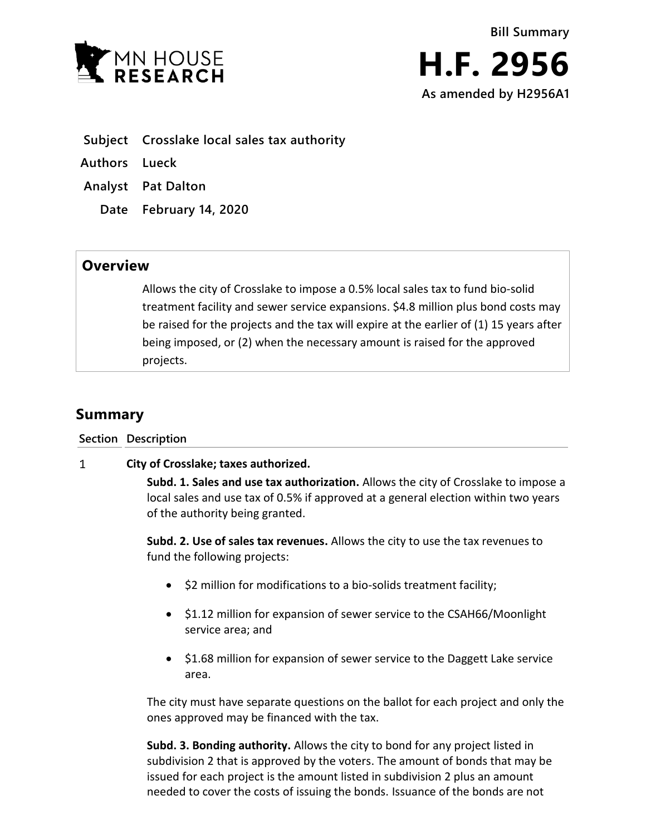



- **Subject Crosslake local sales tax authority**
- **Authors Lueck**
- **Analyst Pat Dalton**
	- **Date February 14, 2020**

## **Overview**

Allows the city of Crosslake to impose a 0.5% local sales tax to fund bio-solid treatment facility and sewer service expansions. \$4.8 million plus bond costs may be raised for the projects and the tax will expire at the earlier of (1) 15 years after being imposed, or (2) when the necessary amount is raised for the approved projects.

## **Summary**

**Section Description**

## $\mathbf{1}$ **City of Crosslake; taxes authorized.**

**Subd. 1. Sales and use tax authorization.** Allows the city of Crosslake to impose a local sales and use tax of 0.5% if approved at a general election within two years of the authority being granted.

**Subd. 2. Use of sales tax revenues.** Allows the city to use the tax revenues to fund the following projects:

- \$2 million for modifications to a bio-solids treatment facility;
- \$1.12 million for expansion of sewer service to the CSAH66/Moonlight service area; and
- \$1.68 million for expansion of sewer service to the Daggett Lake service area.

The city must have separate questions on the ballot for each project and only the ones approved may be financed with the tax.

**Subd. 3. Bonding authority.** Allows the city to bond for any project listed in subdivision 2 that is approved by the voters. The amount of bonds that may be issued for each project is the amount listed in subdivision 2 plus an amount needed to cover the costs of issuing the bonds. Issuance of the bonds are not